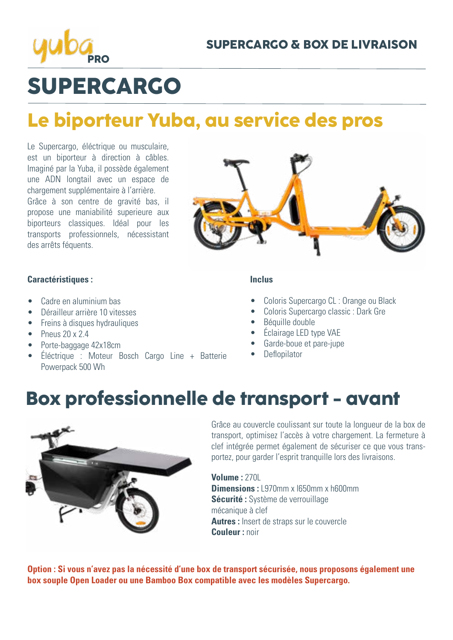

# **SUPERCARGO**

## **Le biporteur Yuba, au service des pros**

Le Supercargo, éléctrique ou musculaire, est un biporteur à direction à câbles. Imaginé par la Yuba, il possède également une ADN longtail avec un espace de chargement supplémentaire à l'arrière. Grâce à son centre de gravité bas, il propose une maniabilité superieure aux biporteurs classiques. Idéal pour les transports professionnels, nécessistant des arrêts féquents.

### **Caractéristiques :**

- Cadre en aluminium bas
- Dérailleur arrière 10 vitesses
- Freins à disques hydrauliques
- Pneus  $20 \times 2.4$
- Porte-baggage 42x18cm
- Éléctrique : Moteur Bosch Cargo Line + Batterie Powerpack 500 Wh

### **Inclus**

- Coloris Supercargo CL : Orange ou Black
- Coloris Supercargo classic : Dark Gre
- Béquille double
- Éclairage LED type VAE
- Garde-boue et pare-jupe
- **Deflopilator**

### **Box professionnelle de transport - avant**



Grâce au couvercle coulissant sur toute la longueur de la box de transport, optimisez l'accès à votre chargement. La fermeture à clef intégrée permet également de sécuriser ce que vous transportez, pour garder l'esprit tranquille lors des livraisons.

**Volume :** 270L **Dimensions :** L970mm x 1650mm x h600mm **Sécurité :** Système de verrouillage mécanique à clef **Autres :** Insert de straps sur le couvercle **Couleur :** noir

**Option : Si vous n'avez pas la nécessité d'une box de transport sécurisée, nous proposons également une box souple Open Loader ou une Bamboo Box compatible avec les modèles Supercargo.**